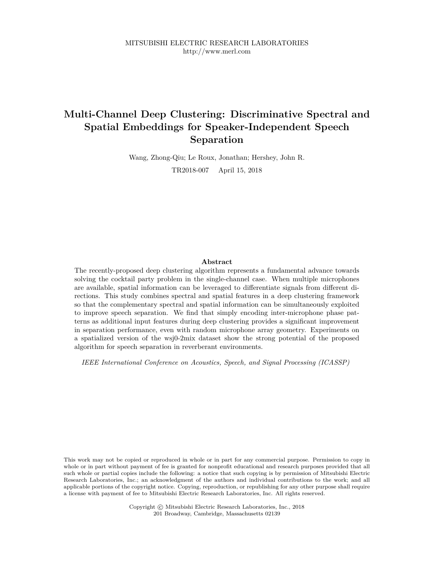# **Multi-Channel Deep Clustering: Discriminative Spectral and Spatial Embeddings for Speaker-Independent Speech Separation**

Wang, Zhong-Qiu; Le Roux, Jonathan; Hershey, John R. TR2018-007 April 15, 2018

# **Abstract**

The recently-proposed deep clustering algorithm represents a fundamental advance towards solving the cocktail party problem in the single-channel case. When multiple microphones are available, spatial information can be leveraged to differentiate signals from different directions. This study combines spectral and spatial features in a deep clustering framework so that the complementary spectral and spatial information can be simultaneously exploited to improve speech separation. We find that simply encoding inter-microphone phase patterns as additional input features during deep clustering provides a significant improvement in separation performance, even with random microphone array geometry. Experiments on a spatialized version of the wsj0-2mix dataset show the strong potential of the proposed algorithm for speech separation in reverberant environments.

*IEEE International Conference on Acoustics, Speech, and Signal Processing (ICASSP)*

This work may not be copied or reproduced in whole or in part for any commercial purpose. Permission to copy in whole or in part without payment of fee is granted for nonprofit educational and research purposes provided that all such whole or partial copies include the following: a notice that such copying is by permission of Mitsubishi Electric Research Laboratories, Inc.; an acknowledgment of the authors and individual contributions to the work; and all applicable portions of the copyright notice. Copying, reproduction, or republishing for any other purpose shall require a license with payment of fee to Mitsubishi Electric Research Laboratories, Inc. All rights reserved.

> Copyright © Mitsubishi Electric Research Laboratories, Inc., 2018 201 Broadway, Cambridge, Massachusetts 02139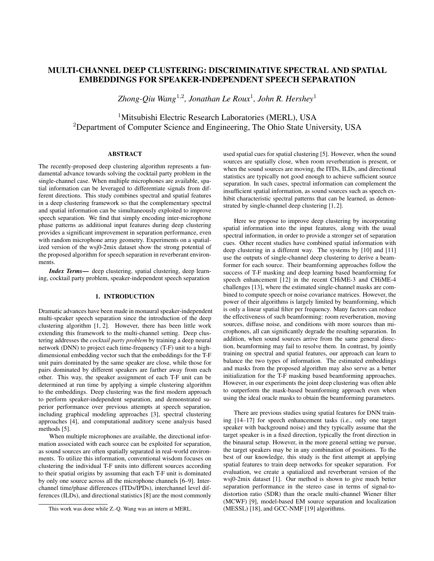# MULTI-CHANNEL DEEP CLUSTERING: DISCRIMINATIVE SPECTRAL AND SPATIAL EMBEDDINGS FOR SPEAKER-INDEPENDENT SPEECH SEPARATION

*Zhong-Qiu Wang*<sup>1</sup>,<sup>2</sup> *, Jonathan Le Roux*<sup>1</sup> *, John R. Hershey*<sup>1</sup>

<sup>1</sup>Mitsubishi Electric Research Laboratories (MERL), USA <sup>2</sup>Department of Computer Science and Engineering, The Ohio State University, USA

# ABSTRACT

The recently-proposed deep clustering algorithm represents a fundamental advance towards solving the cocktail party problem in the single-channel case. When multiple microphones are available, spatial information can be leveraged to differentiate signals from different directions. This study combines spectral and spatial features in a deep clustering framework so that the complementary spectral and spatial information can be simultaneously exploited to improve speech separation. We find that simply encoding inter-microphone phase patterns as additional input features during deep clustering provides a significant improvement in separation performance, even with random microphone array geometry. Experiments on a spatialized version of the wsj0-2mix dataset show the strong potential of the proposed algorithm for speech separation in reverberant environments.

*Index Terms*— deep clustering, spatial clustering, deep learning, cocktail party problem, speaker-independent speech separation

# 1. INTRODUCTION

Dramatic advances have been made in monaural speaker-independent multi-speaker speech separation since the introduction of the deep clustering algorithm [1, 2]. However, there has been little work extending this framework to the multi-channel setting. Deep clustering addresses the *cocktail party problem* by training a deep neural network (DNN) to project each time-frequency (T-F) unit to a highdimensional embedding vector such that the embeddings for the T-F unit pairs dominated by the same speaker are close, while those for pairs dominated by different speakers are farther away from each other. This way, the speaker assignment of each T-F unit can be determined at run time by applying a simple clustering algorithm to the embeddings. Deep clustering was the first modern approach to perform speaker-independent separation, and demonstrated superior performance over previous attempts at speech separation, including graphical modeling approaches [3], spectral clustering approaches [4], and computational auditory scene analysis based methods [5].

When multiple microphones are available, the directional information associated with each source can be exploited for separation, as sound sources are often spatially separated in real-world environments. To utilize this information, conventional wisdom focuses on clustering the individual T-F units into different sources according to their spatial origins by assuming that each T-F unit is dominated by only one source across all the microphone channels [6–9]. Interchannel time/phase differences (ITDs/IPDs), interchannel level differences (ILDs), and directional statistics [8] are the most commonly

used spatial cues for spatial clustering [5]. However, when the sound sources are spatially close, when room reverberation is present, or when the sound sources are moving, the ITDs, ILDs, and directional statistics are typically not good enough to achieve sufficient source separation. In such cases, spectral information can complement the insufficient spatial information, as sound sources such as speech exhibit characteristic spectral patterns that can be learned, as demonstrated by single-channel deep clustering [1, 2].

Here we propose to improve deep clustering by incorporating spatial information into the input features, along with the usual spectral information, in order to provide a stronger set of separation cues. Other recent studies have combined spatial information with deep clustering in a different way. The systems by [10] and [11] use the outputs of single-channel deep clustering to derive a beamformer for each source. Their beamforming approaches follow the success of T-F masking and deep learning based beamforming for speech enhancement [12] in the recent CHiME-3 and CHiME-4 challenges [13], where the estimated single-channel masks are combined to compute speech or noise covariance matrices. However, the power of their algorithms is largely limited by beamforming, which is only a linear spatial filter per frequency. Many factors can reduce the effectiveness of such beamforming: room reverberation, moving sources, diffuse noise, and conditions with more sources than microphones, all can significantly degrade the resulting separation. In addition, when sound sources arrive from the same general direction, beamforming may fail to resolve them. In contrast, by jointly training on spectral and spatial features, our approach can learn to balance the two types of information. The estimated embeddings and masks from the proposed algorithm may also serve as a better initialization for the T-F masking based beamforming approaches. However, in our experiments the joint deep clustering was often able to outperform the mask-based beamforming approach even when using the ideal oracle masks to obtain the beamforming parameters.

There are previous studies using spatial features for DNN training [14–17] for speech enhancement tasks (i.e., only one target speaker with background noise) and they typically assume that the target speaker is in a fixed direction, typically the front direction in the binaural setup. However, in the more general setting we pursue, the target speakers may be in any combination of positions. To the best of our knowledge, this study is the first attempt at applying spatial features to train deep networks for speaker separation. For evaluation, we create a spatialized and reverberant version of the wsj0-2mix dataset [1]. Our method is shown to give much better separation performance in the stereo case in terms of signal-todistortion ratio (SDR) than the oracle multi-channel Wiener filter (MCWF) [9], model-based EM source separation and localization (MESSL) [18], and GCC-NMF [19] algorithms.

This work was done while Z.-Q. Wang was an intern at MERL.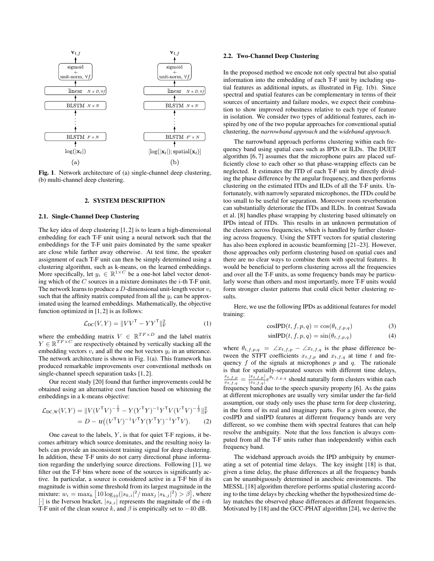

Fig. 1. Network architecture of (a) single-channel deep clustering, (b) multi-channel deep clustering.

# 2. SYSTEM DESCRIPTION

#### 2.1. Single-Channel Deep Clustering

The key idea of deep clustering [1, 2] is to learn a high-dimensional embedding for each T-F unit using a neural network such that the embeddings for the T-F unit pairs dominated by the same speaker are close while farther away otherwise. At test time, the speaker assignment of each T-F unit can then be simply determined using a clustering algorithm, such as k-means, on the learned embeddings. More specifically, let  $y_i \in \mathbb{R}^{1 \times C}$  be a one-hot label vector denoting which of the  $C$  sources in a mixture dominates the *i*-th T-F unit. The network learns to produce a  $D$ -dimensional unit-length vector  $v_i$ such that the affinity matrix computed from all the  $y_i$  can be approximated using the learned embeddings. Mathematically, the objective function optimized in [1, 2] is as follows:

$$
\mathcal{L}_{\text{DC}}(V, Y) = ||VV^{\mathsf{T}} - YY^{\mathsf{T}}||_{\text{F}}^2 \tag{1}
$$

where the embedding matrix  $V \in \mathbb{R}^{TF \times D}$  and the label matrix  $Y \in \mathbb{R}^{TF \times C}$  are respectively obtained by vertically stacking all the embedding vectors  $v_i$  and all the one hot vectors  $y_i$  in an utterance. The network architecture is shown in Fig. 1(a). This framework has produced remarkable improvements over conventional methods on single-channel speech separation tasks [1, 2].

Our recent study [20] found that further improvements could be obtained using an alternative cost function based on whitening the embeddings in a k-means objective:

$$
\mathcal{L}_{\text{DC,W}}(V, Y) = ||V(V^{\mathsf{T}}V)^{-\frac{1}{2}} - Y(Y^{\mathsf{T}}Y)^{-1}Y^{\mathsf{T}}V(V^{\mathsf{T}}V)^{-\frac{1}{2}}||_{\text{F}}^2
$$
  
=  $D - \text{tr}((V^{\mathsf{T}}V)^{-1}V^{\mathsf{T}}Y(Y^{\mathsf{T}}Y)^{-1}Y^{\mathsf{T}}V).$  (2)

One caveat to the labels,  $Y$ , is that for quiet T-F regions, it becomes arbitrary which source dominates, and the resulting noisy labels can provide an inconsistent training signal for deep clustering. In addition, these T-F units do not carry directional phase information regarding the underlying source directions. Following [1], we filter out the T-F bins where none of the sources is significantly active. In particular, a source is considered active in a T-F bin if its magnitude is within some threshold from its largest magnitude in the mixture:  $w_i = \max_k \left[ 10 \log_{10}(|s_{k,i}|^2 / \max_j |s_{k,j}|^2) > \beta \right]$ , where [·] is the Iverson bracket,  $|s_{k,i}|$  represents the magnitude of the *i*-th T-F unit of the clean source k, and  $\beta$  is empirically set to  $-40$  dB.

#### 2.2. Two-Channel Deep Clustering

In the proposed method we encode not only spectral but also spatial information into the embedding of each T-F unit by including spatial features as additional inputs, as illustrated in Fig. 1(b). Since spectral and spatial features can be complementary in terms of their sources of uncertainty and failure modes, we expect their combination to show improved robustness relative to each type of feature in isolation. We consider two types of additional features, each inspired by one of the two popular approaches for conventional spatial clustering, the *narrowband approach* and the *wideband approach*.

The narrowband approach performs clustering within each frequency band using spatial cues such as IPDs or ILDs. The DUET algorithm [6, 7] assumes that the microphone pairs are placed sufficiently close to each other so that phase-wrapping effects can be neglected. It estimates the ITD of each T-F unit by directly dividing the phase difference by the angular frequency, and then performs clustering on the estimated ITDs and ILDs of all the T-F units. Unfortunately, with narrowly separated microphones, the ITDs could be too small to be useful for separation. Moreover room reverberation can substantially deteriorate the ITDs and ILDs. In contrast Sawada et al. [8] handles phase wrapping by clustering based ultimately on IPDs intead of ITDs. This results in an unknown permutation of the clusters across frequencies, which is handled by further clustering across frequency. Using the STFT vectors for spatial clustering has also been explored in acoustic beamforming [21–23]. However, those approaches only perform clustering based on spatial cues and there are no clear ways to combine them with spectral features. It would be beneficial to perform clustering across all the frequencies and over all the T-F units, as some frequency bands may be particularly worse than others and most importantly, more T-F units would form stronger cluster patterns that could elicit better clustering results.

Here, we use the following IPDs as additional features for model training:

$$
\cos\text{IPD}(t, f, p, q) = \cos(\theta_{t, f, p, q})\tag{3}
$$

$$
\sin\text{IPD}(t, f, p, q) = \sin(\theta_{t, f, p, q})\tag{4}
$$

where  $\theta_{t,f,p,q} = \angle x_{t,f,p} - \angle x_{t,f,q}$  is the phase difference between the STFT coefficients  $x_{t,f,p}$  and  $x_{t,f,q}$  at time t and frequency  $f$  of the signals at microphones  $p$  and  $q$ . The rationale is that for spatially-separated sources with different time delays,  $x_{t,f,p}$  $\frac{x_{t,f,p}}{x_{t,f,q}} = \frac{|x_{t,f,p}|}{|x_{t,f,q}|}$  $\frac{|x_{t,f,p}|}{|x_{t,f,q}|}e^{\theta_{t,f,p,q}}$  should naturally form clusters within each frequency band due to the speech sparsity property [6]. As the gains at different microphones are usually very similar under the far-field assumption, our study only uses the phase term for deep clustering, in the form of its real and imaginary parts. For a given source, the cosIPD and sinIPD features at different frequency bands are very different, so we combine them with spectral features that can help resolve the ambiguity. Note that the loss function is always computed from all the T-F units rather than independently within each frequency band.

The wideband approach avoids the IPD ambiguity by enumerating a set of potential time delays. The key insight [18] is that, given a time delay, the phase differences at all the frequency bands can be unambiguously determined in anechoic environments. The MESSL [18] algorithm therefore performs spatial clustering according to the time delays by checking whether the hypothesized time delay matches the observed phase differences at different frequencies. Motivated by [18] and the GCC-PHAT algorithm [24], we derive the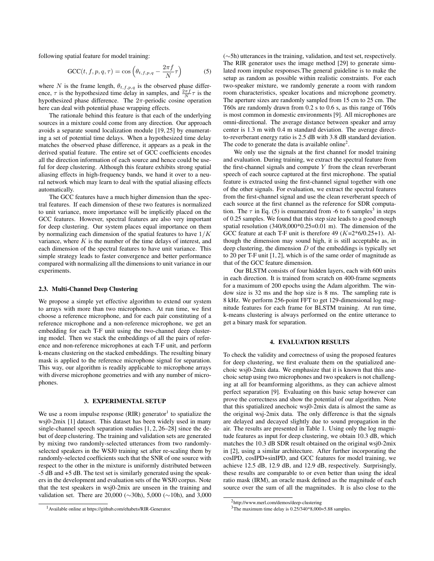following spatial feature for model training:

$$
\text{GCC}(t, f, p, q, \tau) = \cos\left(\theta_{t, f, p, q} - \frac{2\pi f}{N}\tau\right) \tag{5}
$$

where N is the frame length,  $\theta_{t,f,p,q}$  is the observed phase difference,  $\tau$  is the hypothesized time delay in samples, and  $\frac{2\pi f}{N} \tau$  is the hypothesized phase difference. The  $2\pi$ -periodic cosine operation here can deal with potential phase wrapping effects.

The rationale behind this feature is that each of the underlying sources in a mixture could come from any direction. Our approach avoids a separate sound localization module [19, 25] by enumerating a set of potential time delays. When a hypothesized time delay matches the observed phase difference, it appears as a peak in the derived spatial feature. The entire set of GCC coefficients encodes all the direction information of each source and hence could be useful for deep clustering. Although this feature exhibits strong spatial aliasing effects in high-frequency bands, we hand it over to a neural network which may learn to deal with the spatial aliasing effects automatically.

The GCC features have a much higher dimension than the spectral features. If each dimension of these two features is normalized to unit variance, more importance will be implicitly placed on the GCC features. However, spectral features are also very important for deep clustering. Our system places equal importance on them by normalizing each dimension of the spatial features to have  $1/K$ variance, where  $K$  is the number of the time delays of interest, and each dimension of the spectral features to have unit variance. This simple strategy leads to faster convergence and better performance compared with normalizing all the dimensions to unit variance in our experiments.

#### 2.3. Multi-Channel Deep Clustering

We propose a simple yet effective algorithm to extend our system to arrays with more than two microphones. At run time, we first choose a reference microphone, and for each pair constituting of a reference microphone and a non-reference microphone, we get an embedding for each T-F unit using the two-channel deep clustering model. Then we stack the embeddings of all the pairs of reference and non-reference microphones at each T-F unit, and perform k-means clustering on the stacked embeddings. The resulting binary mask is applied to the reference microphone signal for separation. This way, our algorithm is readily applicable to microphone arrays with diverse microphone geometries and with any number of microphones.

#### 3. EXPERIMENTAL SETUP

We use a room impulse response  $(RIR)$  generator<sup>1</sup> to spatialize the wsj0-2mix [1] dataset. This dataset has been widely used in many single-channel speech separation studies [1, 2, 26–28] since the debut of deep clustering. The training and validation sets are generated by mixing two randomly-selected utterances from two randomlyselected speakers in the WSJ0 training set after re-scaling them by randomly-selected coefficients such that the SNR of one source with respect to the other in the mixture is uniformly distributed between -5 dB and +5 dB. The test set is similarly generated using the speakers in the development and evaluation sets of the WSJ0 corpus. Note that the test speakers in wsj0-2mix are unseen in the training and validation set. There are 20,000 (∼30h), 5,000 (∼10h), and 3,000

(∼5h) utterances in the training, validation, and test set, respectively. The RIR generator uses the image method [29] to generate simulated room impulse responses.The general guideline is to make the setup as random as possible within realistic constraints. For each two-speaker mixture, we randomly generate a room with random room characteristics, speaker locations and microphone geometry. The aperture sizes are randomly sampled from 15 cm to 25 cm. The T60s are randomly drawn from 0.2 s to 0.6 s, as this range of T60s is most common in domestic environments [9]. All microphones are omni-directional. The average distance between speaker and array center is 1.3 m with 0.4 m standard deviation. The average directto-reverberant energy ratio is 2.5 dB with 3.8 dB standard deviation. The code to generate the data is available online<sup>2</sup>.

We only use the signals at the first channel for model training and evaluation. During training, we extract the spectral feature from the first-channel signals and compute Y from the clean reverberant speech of each source captured at the first microphone. The spatial feature is extracted using the first-channel signal together with one of the other signals. For evaluation, we extract the spectral features from the first-channel signal and use the clean reverberant speech of each source at the first channel as the reference for SDR computation. The  $\tau$  in Eq. (5) is enumerated from -6 to 6 samples<sup>3</sup> in steps of 0.25 samples. We found that this step size leads to a good enough spatial resolution (340/8,000\*0.25=0.01 m). The dimension of the GCC feature at each T-F unit is therefore 49  $(K=2*6/0.25+1)$ . Although the dimension may sound high, it is still acceptable as, in deep clustering, the dimension  $D$  of the embeddings is typically set to 20 per T-F unit [1, 2], which is of the same order of magnitude as that of the GCC feature dimension.

Our BLSTM consists of four hidden layers, each with 600 units in each direction. It is trained from scratch on 400-frame segments for a maximum of 200 epochs using the Adam algorithm. The window size is 32 ms and the hop size is 8 ms. The sampling rate is 8 kHz. We perform 256-point FFT to get 129-dimensional log magnitude features for each frame for BLSTM training. At run time, k-means clustering is always performed on the entire utterance to get a binary mask for separation.

#### 4. EVALUATION RESULTS

To check the validity and correctness of using the proposed features for deep clustering, we first evaluate them on the spatialized anechoic wsj0-2mix data. We emphasize that it is known that this anechoic setup using two microphones and two speakers is not challenging at all for beamforming algorithms, as they can achieve almost perfect separation [9]. Evaluating on this basic setup however can prove the correctness and show the potential of our algorithm. Note that this spatialized anechoic wsj0-2mix data is almost the same as the original wsj-2mix data. The only difference is that the signals are delayed and decayed slightly due to sound propagation in the air. The results are presented in Table 1. Using only the log magnitude features as input for deep clustering, we obtain 10.3 dB, which matches the 10.3 dB SDR result obtained on the original wsj0-2mix in [2], using a similar architecture. After further incorporating the cosIPD, cosIPD+sinIPD, and GCC features for model training, we achieve 12.5 dB, 12.9 dB, and 12.9 dB, respectively. Surprisingly, these results are comparable to or even better than using the ideal ratio mask (IRM), an oracle mask defined as the magnitude of each source over the sum of all the magnitudes. It is also close to the

<sup>1</sup>Available online at https://github.com/ehabets/RIR-Generator.

<sup>2</sup> http://www.merl.com/demos/deep-clustering

 $3$ The maximum time delay is 0.25/340 $*8,000=5.88$  samples.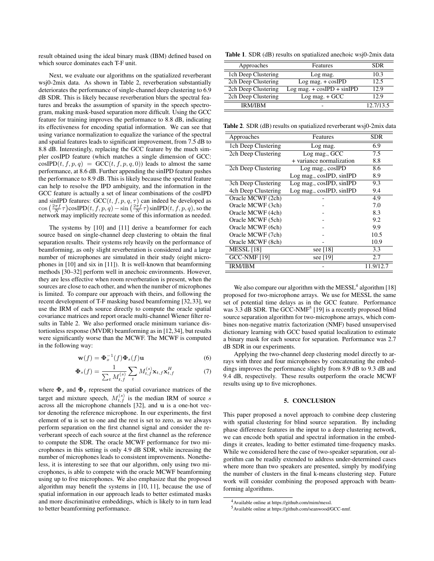result obtained using the ideal binary mask (IBM) defined based on which source dominates each T-F unit.

Next, we evaluate our algorithms on the spatialized reverberant wsj0-2mix data. As shown in Table 2, reverberation substantially deteriorates the performance of single-channel deep clustering to 6.9 dB SDR. This is likely because reverberation blurs the spectral features and breaks the assumption of sparsity in the speech spectrogram, making mask-based separation more difficult. Using the GCC feature for training improves the performance to 8.8 dB, indicating its effectiveness for encoding spatial information. We can see that using variance normalization to equalize the variance of the spectral and spatial features leads to significant improvement, from 7.5 dB to 8.8 dB. Interestingly, replacing the GCC feature by the much simpler cosIPD feature (which matches a single dimension of GCC:  $\cosh PD(t, f, p, q) = \text{GCC}(t, f, p, q, 0)$  leads to almost the same performance, at 8.6 dB. Further appending the sinIPD feature pushes the performance to 8.9 dB. This is likely because the spectral feature can help to resolve the IPD ambiguity, and the information in the GCC feature is actually a set of linear combinations of the cosIPD and sinIPD features:  $\text{GCC}(t, f, p, q, \tau)$  can indeed be developed as  $\cos\left(\frac{2\pi f}{N}\tau\right)$ cosIPD $(t, f, p, q) - \sin\left(\frac{2\pi f}{N}\tau\right)$ sinIPD $(t, f, p, q)$ , so the network may implicitly recreate some of this information as needed.

The systems by [10] and [11] derive a beamformer for each source based on single-channel deep clustering to obtain the final separation results. Their systems rely heavily on the performance of beamforming, as only slight reverberation is considered and a large number of microphones are simulated in their study (eight microphones in [10] and six in [11]). It is well-known that beamforming methods [30–32] perform well in anechoic environments. However, they are less effective when room reverberation is present, when the sources are close to each other, and when the number of microphones is limited. To compare our approach with theirs, and following the recent development of T-F masking based beamforming [32, 33], we use the IRM of each source directly to compute the oracle spatial covariance matrices and report oracle multi-channel Wiener filter results in Table 2. We also performed oracle minimum variance distortionless response (MVDR) beamforming as in [12,34], but results were significantly worse than the MCWF. The MCWF is computed in the following way:

$$
\mathbf{w}(f) = \mathbf{\Phi}_x^{-1}(f)\mathbf{\Phi}_s(f)\mathbf{u}
$$
 (6)

$$
\mathbf{\Phi}_s(f) = \frac{1}{\sum_{t} M_{t,f}^{(s)}} \sum_{t} M_{t,f}^{(s)} \mathbf{x}_{t,f} \mathbf{x}_{t,f}^H
$$
(7)

where  $\Phi_s$  and  $\Phi_x$  represent the spatial covariance matrices of the target and mixture speech,  $M_{t,f}^{(s)}$  is the median IRM of source s across all the microphone channels [32], and u is a one-hot vector denoting the reference microphone. In our experiments, the first element of u is set to one and the rest is set to zero, as we always perform separation on the first channel signal and consider the reverberant speech of each source at the first channel as the reference to compute the SDR. The oracle MCWF performance for two microphones in this setting is only 4.9 dB SDR, while increasing the number of microphones leads to consistent improvements. Nonetheless, it is interesting to see that our algorithm, only using two microphones, is able to compete with the oracle MCWF beamforming using up to five microphones. We also emphasize that the proposed algorithm may benefit the systems in [10, 11], because the use of spatial information in our approach leads to better estimated masks and more discriminative embeddings, which is likely to in turn lead to better beamforming performance.

Table 1. SDR (dB) results on spatialized anechoic wsj0-2mix data

| Approaches          | Features                     | <b>SDR</b> |
|---------------------|------------------------------|------------|
| 1ch Deep Clustering | Log mag.                     | 10.3       |
| 2ch Deep Clustering | $Log mag. + cosIPD$          | 12.5       |
| 2ch Deep Clustering | Log mag. + $cosIPD + sinIPD$ | 12.9       |
| 2ch Deep Clustering | $Log mag. + GCC$             | 12.9       |
| <b>IRM/IBM</b>      | -                            | 12.7/13.5  |
|                     |                              |            |

Table 2. SDR (dB) results on spatialized reverberant wsj0-2mix data

| Approaches          | Features                 | <b>SDR</b> |
|---------------------|--------------------------|------------|
| 1ch Deep Clustering | Log mag.                 | 6.9        |
| 2ch Deep Clustering | Log mag., GCC            | 7.5        |
|                     | + variance normalization | 8.8        |
| 2ch Deep Clustering | Log mag., cosIPD         | 8.6        |
|                     | Log mag., cosIPD, sinIPD | 8.9        |
| 3ch Deep Clustering | Log mag., cosIPD, sinIPD | 9.3        |
| 4ch Deep Clustering | Log mag., cosIPD, sinIPD | 9.4        |
| Oracle MCWF (2ch)   |                          | 4.9        |
| Oracle MCWF (3ch)   |                          | 7.0        |
| Oracle MCWF (4ch)   |                          | 8.3        |
| Oracle MCWF (5ch)   |                          | 9.2        |
| Oracle MCWF (6ch)   |                          | 9.9        |
| Oracle MCWF (7ch)   |                          | 10.5       |
| Oracle MCWF (8ch)   |                          | 10.9       |
| <b>MESSL</b> [18]   | see $[18]$               | 3.3        |
| <b>GCC-NMF</b> [19] | see [19]                 | 2.7        |
| <b>IRM/IBM</b>      |                          | 11.9/12.7  |

We also compare our algorithm with the  $MESSL<sup>4</sup>$  algorithm [18] proposed for two-microphone arrays. We use for MESSL the same set of potential time delays as in the GCC feature. Performance was 3.3 dB SDR. The GCC-NMF<sup>5</sup> [19] is a recently proposed blind source separation algorithm for two-microphone arrays, which combines non-negative matrix factorization (NMF) based unsupervised dictionary learning with GCC based spatial localization to estimate a binary mask for each source for separation. Performance was 2.7 dB SDR in our experiments.

Applying the two-channel deep clustering model directly to arrays with three and four microphones by concatenating the embeddings improves the performance slightly from 8.9 dB to 9.3 dB and 9.4 dB, respectively. These results outperform the oracle MCWF results using up to five microphones.

# 5. CONCLUSION

This paper proposed a novel approach to combine deep clustering with spatial clustering for blind source separation. By including phase difference features in the input to a deep clustering network, we can encode both spatial and spectral information in the embeddings it creates, leading to better estimated time-frequency masks. While we considered here the case of two-speaker separation, our algorithm can be readily extended to address under-determined cases where more than two speakers are presented, simply by modifying the number of clusters in the final k-means clustering step. Future work will consider combining the proposed approach with beamforming algorithms.

<sup>4</sup>Available online at https://github.com/mim/messl.

<sup>5</sup>Available online at https://github.com/seanwood/GCC-nmf.